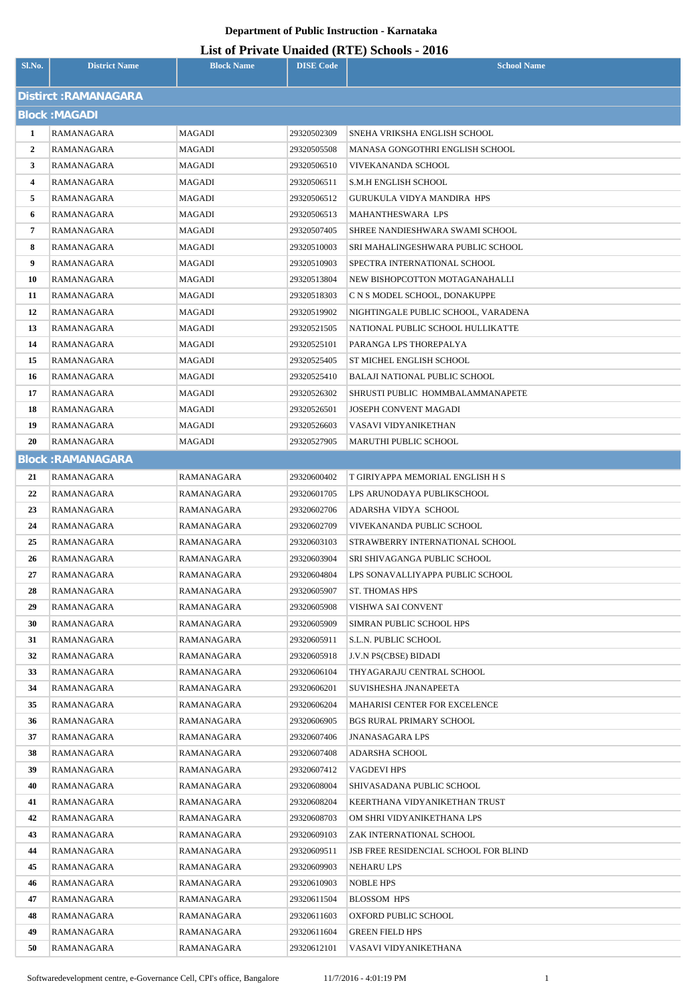| Sl.No.         | <b>District Name</b>     | <b>Block Name</b>        | <b>DISE Code</b>           | $\mu$ <sub>15</sub> of T <sub>11</sub> , and Omaraca (IVIII) behoofs $\mu$ <sub>010</sub><br><b>School Name</b> |
|----------------|--------------------------|--------------------------|----------------------------|-----------------------------------------------------------------------------------------------------------------|
|                | Distirct: RAMANAGARA     |                          |                            |                                                                                                                 |
|                | <b>Block: MAGADI</b>     |                          |                            |                                                                                                                 |
| 1              | RAMANAGARA               | MAGADI                   | 29320502309                | SNEHA VRIKSHA ENGLISH SCHOOL                                                                                    |
| $\overline{2}$ | RAMANAGARA               | MAGADI                   | 29320505508                | MANASA GONGOTHRI ENGLISH SCHOOL                                                                                 |
| 3              | RAMANAGARA               | MAGADI                   | 29320506510                | VIVEKANANDA SCHOOL                                                                                              |
| 4              | RAMANAGARA               | MAGADI                   | 29320506511                | S.M.H ENGLISH SCHOOL                                                                                            |
| 5              | RAMANAGARA               | MAGADI                   | 29320506512                | GURUKULA VIDYA MANDIRA HPS                                                                                      |
| 6              | RAMANAGARA               | MAGADI                   | 29320506513                | MAHANTHESWARA LPS                                                                                               |
| 7              | RAMANAGARA               | MAGADI                   | 29320507405                | SHREE NANDIESHWARA SWAMI SCHOOL                                                                                 |
| 8              | RAMANAGARA               | MAGADI                   | 29320510003                | SRI MAHALINGESHWARA PUBLIC SCHOOL                                                                               |
| 9              | RAMANAGARA               | MAGADI                   | 29320510903                | SPECTRA INTERNATIONAL SCHOOL                                                                                    |
| 10             | RAMANAGARA               | MAGADI                   | 29320513804                | NEW BISHOPCOTTON MOTAGANAHALLI                                                                                  |
| 11             | RAMANAGARA               | MAGADI                   | 29320518303                | C N S MODEL SCHOOL, DONAKUPPE                                                                                   |
| 12             | RAMANAGARA               | MAGADI                   | 29320519902                | NIGHTINGALE PUBLIC SCHOOL, VARADENA                                                                             |
| 13             | RAMANAGARA               | MAGADI                   | 29320521505                | NATIONAL PUBLIC SCHOOL HULLIKATTE                                                                               |
| 14             | RAMANAGARA               | MAGADI                   | 29320525101                | PARANGA LPS THOREPALYA                                                                                          |
| 15             | <b>RAMANAGARA</b>        | MAGADI                   | 29320525405                | ST MICHEL ENGLISH SCHOOL                                                                                        |
| 16             | RAMANAGARA               | MAGADI                   | 29320525410                | BALAJI NATIONAL PUBLIC SCHOOL                                                                                   |
| 17             | RAMANAGARA               | MAGADI                   | 29320526302                | SHRUSTI PUBLIC HOMMBALAMMANAPETE                                                                                |
| 18             | RAMANAGARA               | MAGADI                   | 29320526501                | JOSEPH CONVENT MAGADI                                                                                           |
| 19             | RAMANAGARA               | MAGADI                   | 29320526603                | VASAVI VIDYANIKETHAN                                                                                            |
| 20             | RAMANAGARA               | MAGADI                   | 29320527905                | MARUTHI PUBLIC SCHOOL                                                                                           |
|                | <b>Block: RAMANAGARA</b> |                          |                            |                                                                                                                 |
| 21             | RAMANAGARA               | RAMANAGARA               | 29320600402                | T GIRIYAPPA MEMORIAL ENGLISH H S                                                                                |
| 22             | RAMANAGARA               | RAMANAGARA               | 29320601705                | LPS ARUNODAYA PUBLIKSCHOOL                                                                                      |
| 23             | <b>RAMANAGARA</b>        | RAMANAGARA               | 29320602706                | ADARSHA VIDYA SCHOOL                                                                                            |
| 24             | RAMANAGARA               | RAMANAGARA               | 29320602709                | VIVEKANANDA PUBLIC SCHOOL                                                                                       |
| 25             | RAMANAGARA               | RAMANAGARA               | 29320603103                | STRAWBERRY INTERNATIONAL SCHOOL                                                                                 |
| 26             | RAMANAGARA               | RAMANAGARA               | 29320603904                | SRI SHIVAGANGA PUBLIC SCHOOL                                                                                    |
| 27             | RAMANAGARA               | RAMANAGARA               | 29320604804                | LPS SONAVALLIYAPPA PUBLIC SCHOOL                                                                                |
| 28             | RAMANAGARA               | RAMANAGARA               | 29320605907                | <b>ST. THOMAS HPS</b>                                                                                           |
| 29             | RAMANAGARA               | RAMANAGARA               | 29320605908                | VISHWA SAI CONVENT                                                                                              |
| 30             | RAMANAGARA               | RAMANAGARA               | 29320605909                | SIMRAN PUBLIC SCHOOL HPS                                                                                        |
| 31             | RAMANAGARA               | RAMANAGARA               | 29320605911                | <b>S.L.N. PUBLIC SCHOOL</b>                                                                                     |
| 32             | RAMANAGARA               | RAMANAGARA               | 29320605918                | J.V.N PS(CBSE) BIDADI                                                                                           |
| 33             | RAMANAGARA               | RAMANAGARA               | 29320606104                | THYAGARAJU CENTRAL SCHOOL                                                                                       |
| 34             | RAMANAGARA               | RAMANAGARA               | 29320606201                | SUVISHESHA JNANAPEETA                                                                                           |
| 35             | RAMANAGARA               | RAMANAGARA               | 29320606204                | <b>MAHARISI CENTER FOR EXCELENCE</b>                                                                            |
| 36             | RAMANAGARA               | RAMANAGARA               | 29320606905                | <b>BGS RURAL PRIMARY SCHOOL</b>                                                                                 |
| 37             | RAMANAGARA               | RAMANAGARA               | 29320607406                | JNANASAGARA LPS                                                                                                 |
| 38             | RAMANAGARA               | RAMANAGARA               | 29320607408                | ADARSHA SCHOOL                                                                                                  |
| 39             | RAMANAGARA               | RAMANAGARA               | 29320607412                | VAGDEVI HPS                                                                                                     |
| 40             | RAMANAGARA               | RAMANAGARA               | 29320608004                | SHIVASADANA PUBLIC SCHOOL                                                                                       |
| 41<br>42       | RAMANAGARA<br>RAMANAGARA | RAMANAGARA<br>RAMANAGARA | 29320608204<br>29320608703 | KEERTHANA VIDYANIKETHAN TRUST<br>OM SHRI VIDYANIKETHANA LPS                                                     |
| 43             | RAMANAGARA               | RAMANAGARA               | 29320609103                | ZAK INTERNATIONAL SCHOOL                                                                                        |
| 44             | RAMANAGARA               | RAMANAGARA               | 29320609511                | <b>JSB FREE RESIDENCIAL SCHOOL FOR BLIND</b>                                                                    |
| 45             | RAMANAGARA               | RAMANAGARA               | 29320609903                | NEHARU LPS                                                                                                      |
| 46             | RAMANAGARA               | RAMANAGARA               | 29320610903                | NOBLE HPS                                                                                                       |
| 47             | RAMANAGARA               | RAMANAGARA               | 29320611504                | <b>BLOSSOM HPS</b>                                                                                              |
| 48             | RAMANAGARA               | RAMANAGARA               | 29320611603                | OXFORD PUBLIC SCHOOL                                                                                            |
| 49             | RAMANAGARA               | RAMANAGARA               | 29320611604                | <b>GREEN FIELD HPS</b>                                                                                          |
| 50             | RAMANAGARA               | RAMANAGARA               | 29320612101                | VASAVI VIDYANIKETHANA                                                                                           |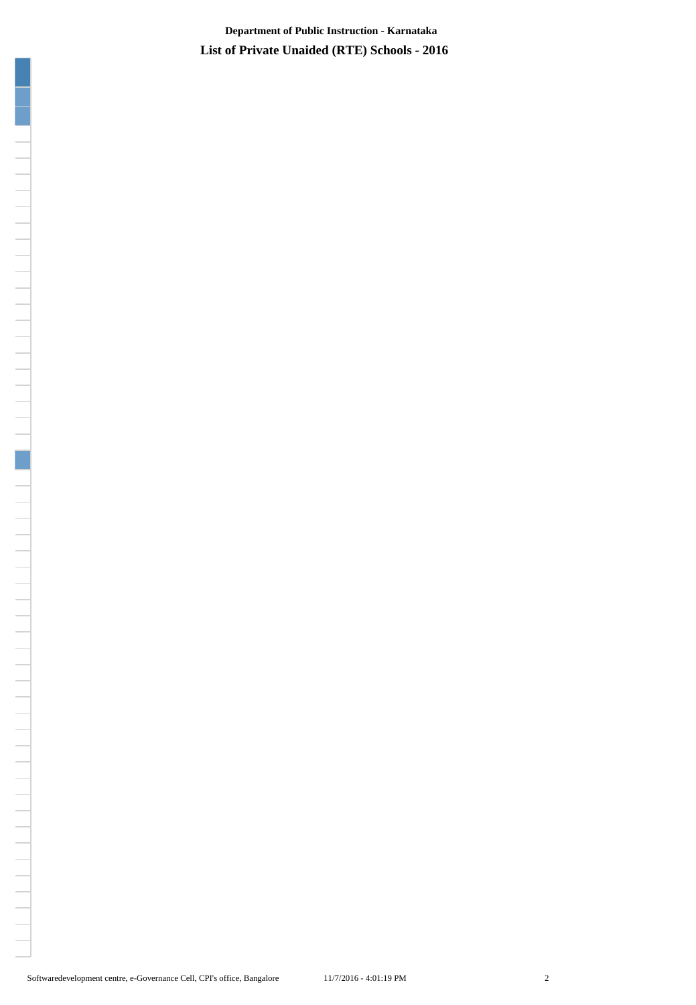**List of Private Unaided (RTE) Schools - 2016 Department of Public Instruction - Karnataka**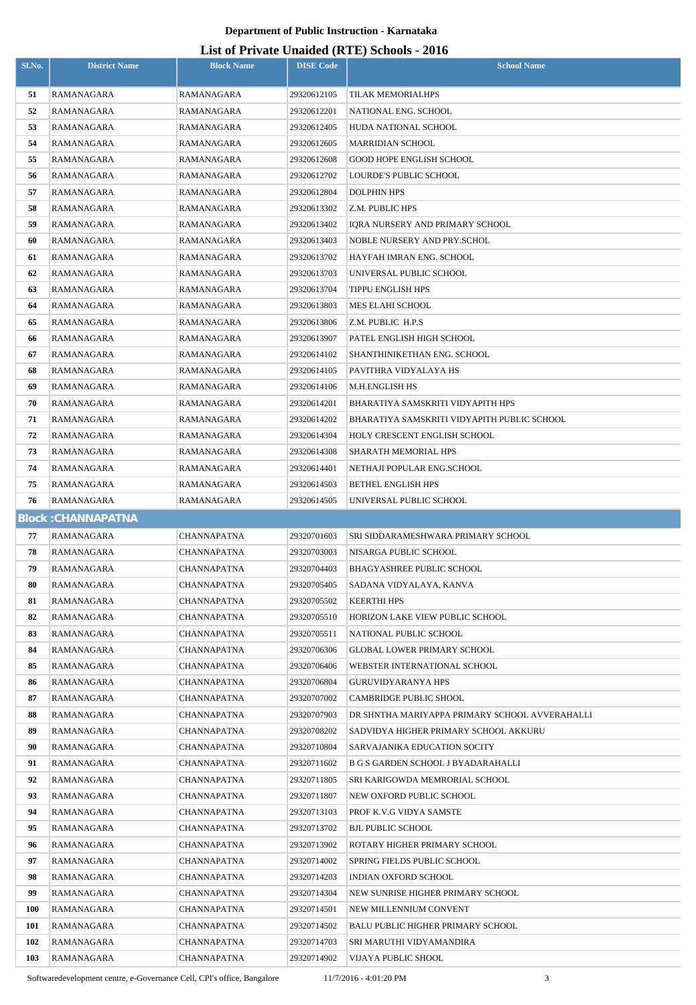| Sl.No.     | <b>District Name</b>      | <b>Block Name</b>          | <b>DISE Code</b>           | $m$ $m$ $m$ $n$ $m$ $m$ $m$ $m$ $m$ $m$<br><b>School Name</b> |  |  |  |
|------------|---------------------------|----------------------------|----------------------------|---------------------------------------------------------------|--|--|--|
| 51         | RAMANAGARA                | RAMANAGARA                 | 29320612105                | TILAK MEMORIALHPS                                             |  |  |  |
| 52         | RAMANAGARA                | RAMANAGARA                 | 29320612201                | NATIONAL ENG. SCHOOL                                          |  |  |  |
| 53         | RAMANAGARA                | RAMANAGARA                 | 29320612405                | HUDA NATIONAL SCHOOL                                          |  |  |  |
| 54         | RAMANAGARA                | RAMANAGARA                 | 29320612605                | <b>MARRIDIAN SCHOOL</b>                                       |  |  |  |
| 55         | RAMANAGARA                | RAMANAGARA                 | 29320612608                | GOOD HOPE ENGLISH SCHOOL                                      |  |  |  |
| 56         | RAMANAGARA                | RAMANAGARA                 | 29320612702                | LOURDE'S PUBLIC SCHOOL                                        |  |  |  |
| 57         | RAMANAGARA                | RAMANAGARA                 | 29320612804                | <b>DOLPHIN HPS</b>                                            |  |  |  |
| 58         | RAMANAGARA                | RAMANAGARA                 | 29320613302                | Z.M. PUBLIC HPS                                               |  |  |  |
| 59         | RAMANAGARA                | RAMANAGARA                 | 29320613402                | IQRA NURSERY AND PRIMARY SCHOOL                               |  |  |  |
| 60         | RAMANAGARA                | RAMANAGARA                 | 29320613403                | NOBLE NURSERY AND PRY.SCHOL                                   |  |  |  |
| 61         | RAMANAGARA                | RAMANAGARA                 | 29320613702                | HAYFAH IMRAN ENG. SCHOOL                                      |  |  |  |
| 62         | RAMANAGARA                | RAMANAGARA                 | 29320613703                | UNIVERSAL PUBLIC SCHOOL                                       |  |  |  |
| 63         | RAMANAGARA                | RAMANAGARA                 | 29320613704                | TIPPU ENGLISH HPS                                             |  |  |  |
| 64         | RAMANAGARA                | RAMANAGARA                 | 29320613803                | MES ELAHI SCHOOL                                              |  |  |  |
| 65         | RAMANAGARA                | RAMANAGARA                 | 29320613806                | Z.M. PUBLIC H.P.S                                             |  |  |  |
| 66         | RAMANAGARA                | RAMANAGARA                 | 29320613907                | PATEL ENGLISH HIGH SCHOOL                                     |  |  |  |
| 67         | RAMANAGARA                | RAMANAGARA                 | 29320614102                | SHANTHINIKETHAN ENG. SCHOOL                                   |  |  |  |
| 68         | RAMANAGARA                | RAMANAGARA                 | 29320614105                | PAVITHRA VIDYALAYA HS                                         |  |  |  |
| 69         | RAMANAGARA                | RAMANAGARA                 | 29320614106                | M.H.ENGLISH HS                                                |  |  |  |
| 70         | RAMANAGARA                | RAMANAGARA                 | 29320614201                | BHARATIYA SAMSKRITI VIDYAPITH HPS                             |  |  |  |
| 71         | RAMANAGARA                | RAMANAGARA                 | 29320614202                | BHARATIYA SAMSKRITI VIDYAPITH PUBLIC SCHOOL                   |  |  |  |
| 72         | RAMANAGARA                | RAMANAGARA                 | 29320614304                | HOLY CRESCENT ENGLISH SCHOOL                                  |  |  |  |
| 73         | RAMANAGARA                | RAMANAGARA                 | 29320614308                | SHARATH MEMORIAL HPS                                          |  |  |  |
| 74         | RAMANAGARA                | RAMANAGARA                 | 29320614401                | NETHAJI POPULAR ENG.SCHOOL                                    |  |  |  |
| 75         | RAMANAGARA                | RAMANAGARA                 | 29320614503                | BETHEL ENGLISH HPS                                            |  |  |  |
| 76         | RAMANAGARA                | RAMANAGARA                 | 29320614505                | UNIVERSAL PUBLIC SCHOOL                                       |  |  |  |
|            | <b>Block: CHANNAPATNA</b> |                            |                            |                                                               |  |  |  |
| 77         | RAMANAGARA                | CHANNAPATNA                | 29320701603                | SRI SIDDARAMESHWARA PRIMARY SCHOOL                            |  |  |  |
| 78         | RAMANAGARA                | CHANNAPATNA                | 29320703003                | NISARGA PUBLIC SCHOOL                                         |  |  |  |
| 79         | RAMANAGARA                | CHANNAPATNA                | 29320704403                | BHAGYASHREE PUBLIC SCHOOL                                     |  |  |  |
| 80         | RAMANAGARA                | CHANNAPATNA                | 29320705405                | SADANA VIDYALAYA, KANVA                                       |  |  |  |
| 81         | RAMANAGARA                | CHANNAPATNA                | 29320705502                | KEERTHI HPS                                                   |  |  |  |
| 82         | RAMANAGARA                | <b>CHANNAPATNA</b>         | 29320705510                | HORIZON LAKE VIEW PUBLIC SCHOOL                               |  |  |  |
| 83         | RAMANAGARA                | <b>CHANNAPATNA</b>         | 29320705511                | NATIONAL PUBLIC SCHOOL                                        |  |  |  |
| 84         | RAMANAGARA                | <b>CHANNAPATNA</b>         | 29320706306                | <b>GLOBAL LOWER PRIMARY SCHOOL</b>                            |  |  |  |
| 85         | RAMANAGARA                | CHANNAPATNA                | 29320706406                | WEBSTER INTERNATIONAL SCHOOL                                  |  |  |  |
| 86         | RAMANAGARA                | <b>CHANNAPATNA</b>         | 29320706804                | <b>GURUVIDYARANYA HPS</b>                                     |  |  |  |
| 87         | RAMANAGARA                | CHANNAPATNA                | 29320707002                | <b>CAMBRIDGE PUBLIC SHOOL</b>                                 |  |  |  |
| 88         | RAMANAGARA                | CHANNAPATNA                | 29320707903                | DR SHNTHA MARIYAPPA PRIMARY SCHOOL AVVERAHALLI                |  |  |  |
| 89         | RAMANAGARA                | CHANNAPATNA                | 29320708202                | SADVIDYA HIGHER PRIMARY SCHOOL AKKURU                         |  |  |  |
| 90         | RAMANAGARA                | CHANNAPATNA                | 29320710804                | SARVAJANIKA EDUCATION SOCITY                                  |  |  |  |
| 91<br>92   | RAMANAGARA                | CHANNAPATNA                | 29320711602                | B G S GARDEN SCHOOL J BYADARAHALLI                            |  |  |  |
| 93         | RAMANAGARA<br>RAMANAGARA  | CHANNAPATNA<br>CHANNAPATNA | 29320711805<br>29320711807 | SRI KARIGOWDA MEMRORIAL SCHOOL<br>NEW OXFORD PUBLIC SCHOOL    |  |  |  |
| 94         | RAMANAGARA                | CHANNAPATNA                | 29320713103                | PROF K.V.G VIDYA SAMSTE                                       |  |  |  |
| 95         | RAMANAGARA                | CHANNAPATNA                | 29320713702                | <b>BJL PUBLIC SCHOOL</b>                                      |  |  |  |
| 96         | RAMANAGARA                | CHANNAPATNA                | 29320713902                |                                                               |  |  |  |
| 97         | RAMANAGARA                | CHANNAPATNA                | 29320714002                | ROTARY HIGHER PRIMARY SCHOOL<br>SPRING FIELDS PUBLIC SCHOOL   |  |  |  |
| 98         | RAMANAGARA                | <b>CHANNAPATNA</b>         | 29320714203                | INDIAN OXFORD SCHOOL                                          |  |  |  |
| 99         | RAMANAGARA                | CHANNAPATNA                | 29320714304                | NEW SUNRISE HIGHER PRIMARY SCHOOL                             |  |  |  |
| <b>100</b> | RAMANAGARA                | CHANNAPATNA                | 29320714501                | NEW MILLENNIUM CONVENT                                        |  |  |  |
| 101        | RAMANAGARA                | CHANNAPATNA                | 29320714502                | <b>BALU PUBLIC HIGHER PRIMARY SCHOOL</b>                      |  |  |  |
| 102        | RAMANAGARA                | CHANNAPATNA                | 29320714703                | SRI MARUTHI VIDYAMANDIRA                                      |  |  |  |
| 103        | RAMANAGARA                | CHANNAPATNA                | 29320714902                | VIJAYA PUBLIC SHOOL                                           |  |  |  |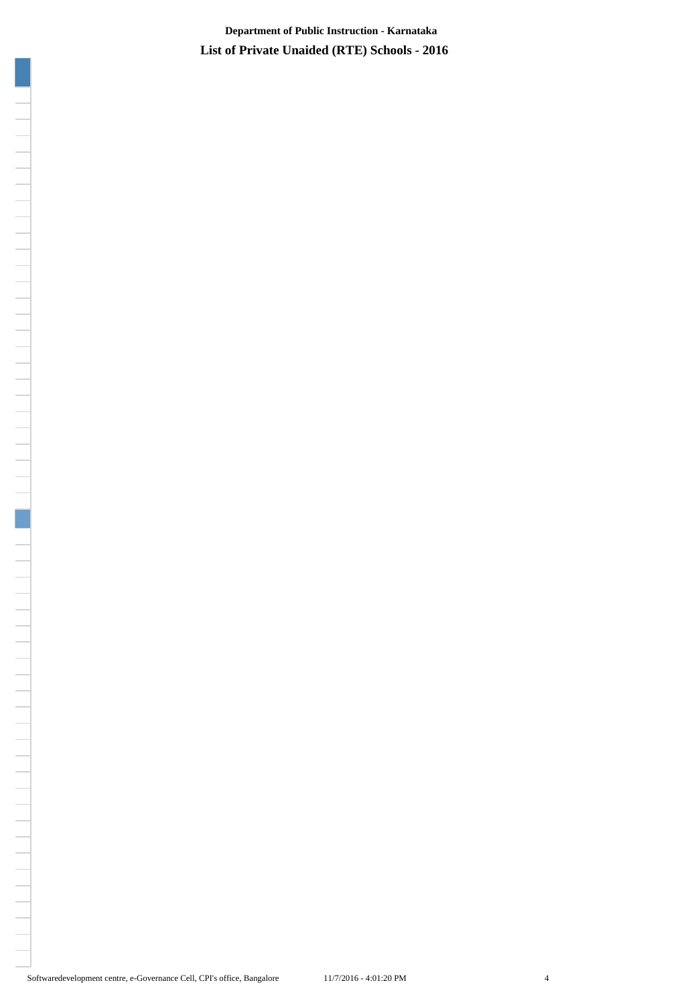**List of Private Unaided (RTE) Schools - 2016 Department of Public Instruction - Karnataka**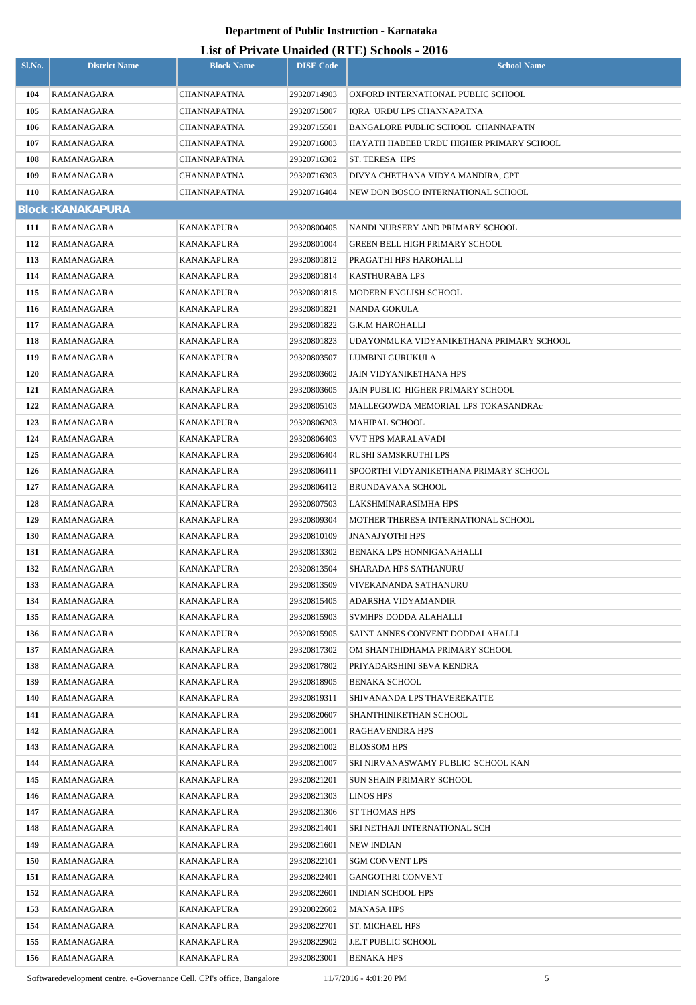### **List of Private Unaided (RTE) Schools - 2016**

|            |                          |                    |                  | List of Frivate Unaffect (KFL) Schools - 2010 |
|------------|--------------------------|--------------------|------------------|-----------------------------------------------|
| Sl.No.     | <b>District Name</b>     | <b>Block Name</b>  | <b>DISE Code</b> | <b>School Name</b>                            |
| 104        | RAMANAGARA               | <b>CHANNAPATNA</b> | 29320714903      | OXFORD INTERNATIONAL PUBLIC SCHOOL            |
| 105        | RAMANAGARA               | CHANNAPATNA        | 29320715007      | IORA URDU LPS CHANNAPATNA                     |
| 106        | RAMANAGARA               | CHANNAPATNA        | 29320715501      | BANGALORE PUBLIC SCHOOL CHANNAPATN            |
| 107        | RAMANAGARA               | CHANNAPATNA        | 29320716003      | HAYATH HABEEB URDU HIGHER PRIMARY SCHOOL      |
| 108        | RAMANAGARA               | <b>CHANNAPATNA</b> | 29320716302      | ST. TERESA HPS                                |
| 109        | RAMANAGARA               | CHANNAPATNA        | 29320716303      | DIVYA CHETHANA VIDYA MANDIRA, CPT             |
| <b>110</b> | RAMANAGARA               | <b>CHANNAPATNA</b> | 29320716404      | NEW DON BOSCO INTERNATIONAL SCHOOL            |
|            | <b>Block: KANAKAPURA</b> |                    |                  |                                               |
| 111        | RAMANAGARA               | KANAKAPURA         | 29320800405      | NANDI NURSERY AND PRIMARY SCHOOL              |
| 112        | RAMANAGARA               | KANAKAPURA         | 29320801004      | GREEN BELL HIGH PRIMARY SCHOOL                |
| 113        | RAMANAGARA               | KANAKAPURA         | 29320801812      | PRAGATHI HPS HAROHALLI                        |
| 114        | RAMANAGARA               | KANAKAPURA         | 29320801814      | <b>KASTHURABA LPS</b>                         |
| 115        | RAMANAGARA               | KANAKAPURA         | 29320801815      | MODERN ENGLISH SCHOOL                         |
| 116        | RAMANAGARA               | KANAKAPURA         | 29320801821      | NANDA GOKULA                                  |
| 117        | RAMANAGARA               | KANAKAPURA         | 29320801822      | G.K.M HAROHALLI                               |
| 118        | RAMANAGARA               | KANAKAPURA         | 29320801823      | UDAYONMUKA VIDYANIKETHANA PRIMARY SCHOOL      |
| 119        | RAMANAGARA               | KANAKAPURA         | 29320803507      | LUMBINI GURUKULA                              |
| 120        | RAMANAGARA               | KANAKAPURA         | 29320803602      | JAIN VIDYANIKETHANA HPS                       |
| 121        | RAMANAGARA               | KANAKAPURA         | 29320803605      | JAIN PUBLIC HIGHER PRIMARY SCHOOL             |
| 122        | RAMANAGARA               | KANAKAPURA         | 29320805103      | MALLEGOWDA MEMORIAL LPS TOKASANDRAc           |
| 123        | RAMANAGARA               | KANAKAPURA         | 29320806203      | MAHIPAL SCHOOL                                |
| 124        | RAMANAGARA               | KANAKAPURA         | 29320806403      | VVT HPS MARALAVADI                            |
| 125        | RAMANAGARA               | KANAKAPURA         | 29320806404      | RUSHI SAMSKRUTHI LPS                          |
| 126        | RAMANAGARA               | KANAKAPURA         | 29320806411      | SPOORTHI VIDYANIKETHANA PRIMARY SCHOOL        |
| 127        | RAMANAGARA               | KANAKAPURA         | 29320806412      | <b>BRUNDAVANA SCHOOL</b>                      |
| 128        | RAMANAGARA               | KANAKAPURA         | 29320807503      | LAKSHMINARASIMHA HPS                          |
| 129        | RAMANAGARA               | KANAKAPURA         | 29320809304      | MOTHER THERESA INTERNATIONAL SCHOOL           |
| <b>130</b> | RAMANAGARA               | KANAKAPURA         | 29320810109      | <b>JNANAJYOTHI HPS</b>                        |
| 131        | RAMANAGARA               | KANAKAPURA         | 29320813302      | BENAKA LPS HONNIGANAHALLI                     |
| 132        | RAMANAGARA               | KANAKAPURA         | 29320813504      | SHARADA HPS SATHANURU                         |
| 133        | RAMANAGARA               | KANAKAPURA         | 29320813509      | VIVEKANANDA SATHANURU                         |
| 134        | RAMANAGARA               | KANAKAPURA         | 29320815405      | ADARSHA VIDYAMANDIR                           |
| 135        | RAMANAGARA               | KANAKAPURA         | 29320815903      | SVMHPS DODDA ALAHALLI                         |
| 136        | RAMANAGARA               | KANAKAPURA         | 29320815905      | SAINT ANNES CONVENT DODDALAHALLI              |
| 137        | RAMANAGARA               | KANAKAPURA         | 29320817302      | OM SHANTHIDHAMA PRIMARY SCHOOL                |
| 138        | RAMANAGARA               | KANAKAPURA         | 29320817802      | PRIYADARSHINI SEVA KENDRA                     |
| 139        | RAMANAGARA               | KANAKAPURA         | 29320818905      | <b>BENAKA SCHOOL</b>                          |
| 140        | RAMANAGARA               | KANAKAPURA         | 29320819311      | SHIVANANDA LPS THAVEREKATTE                   |
| 141        | RAMANAGARA               | KANAKAPURA         | 29320820607      | SHANTHINIKETHAN SCHOOL                        |
| 142        | RAMANAGARA               | KANAKAPURA         | 29320821001      | RAGHAVENDRA HPS                               |
| 143        | RAMANAGARA               | KANAKAPURA         | 29320821002      | <b>BLOSSOM HPS</b>                            |
| 144        | RAMANAGARA               | KANAKAPURA         | 29320821007      | SRI NIRVANASWAMY PUBLIC SCHOOL KAN            |
| 145        | RAMANAGARA               | KANAKAPURA         | 29320821201      | SUN SHAIN PRIMARY SCHOOL                      |
| 146        | RAMANAGARA               | KANAKAPURA         | 29320821303      | LINOS HPS                                     |
| 147        | RAMANAGARA               | KANAKAPURA         | 29320821306      | <b>ST THOMAS HPS</b>                          |
| 148        | RAMANAGARA               | KANAKAPURA         | 29320821401      | SRI NETHAJI INTERNATIONAL SCH                 |
| 149        | RAMANAGARA               | KANAKAPURA         | 29320821601      | <b>NEW INDIAN</b>                             |
| 150        | RAMANAGARA               | KANAKAPURA         | 29320822101      | <b>SGM CONVENT LPS</b>                        |
| 151        | RAMANAGARA               | KANAKAPURA         | 29320822401      | <b>GANGOTHRI CONVENT</b>                      |
| 152        | RAMANAGARA               | KANAKAPURA         | 29320822601      | INDIAN SCHOOL HPS                             |
| 153        | RAMANAGARA               | KANAKAPURA         | 29320822602      | MANASA HPS                                    |
| 154        | RAMANAGARA               | <b>KANAKAPURA</b>  | 29320822701      | ST. MICHAEL HPS                               |
| 155        | RAMANAGARA               | KANAKAPURA         | 29320822902      | J.E.T PUBLIC SCHOOL                           |
| 156        | RAMANAGARA               | <b>KANAKAPURA</b>  | 29320823001      | <b>BENAKA HPS</b>                             |

Softwaredevelopment centre, e-Governance Cell, CPI's office, Bangalore 11/7/2016 - 4:01:20 PM 5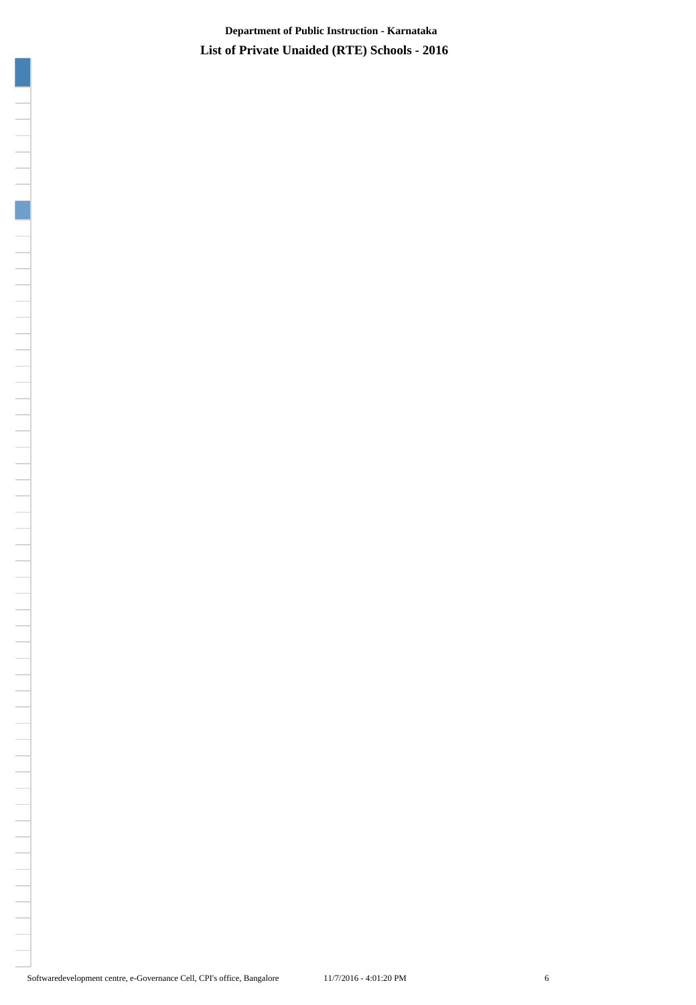**List of Private Unaided (RTE) Schools - 2016 Department of Public Instruction - Karnataka**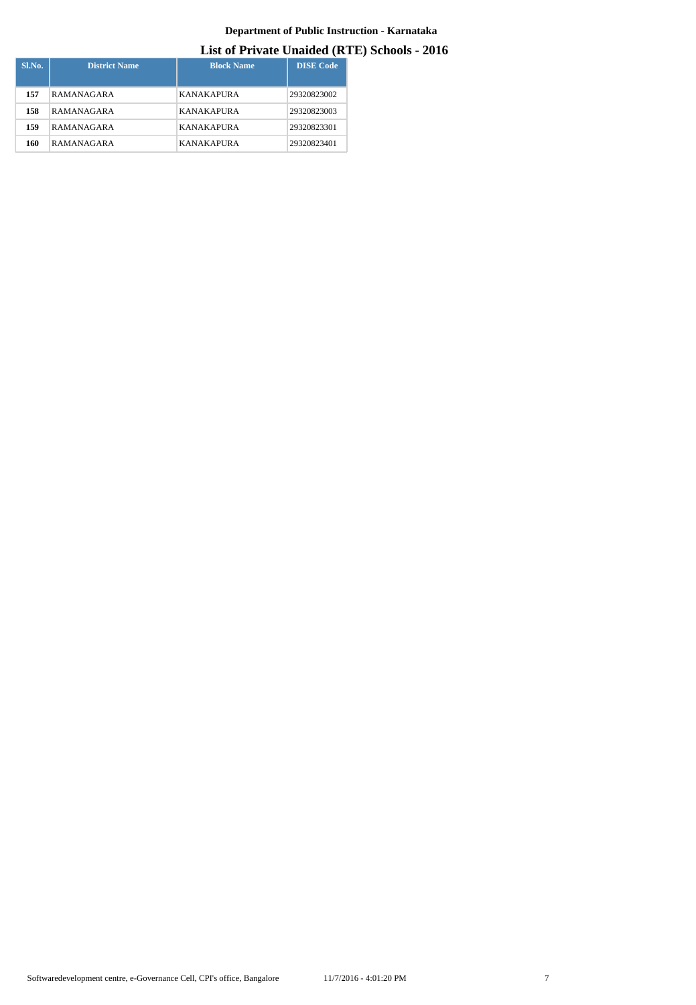| $SL$ No. | <b>District Name</b> | <b>Block Name</b> | <b>DISE</b> Code |
|----------|----------------------|-------------------|------------------|
| 157      | RAMANAGARA           | <b>KANAKAPURA</b> | 29320823002      |
| 158      | RAMANAGARA           | <b>KANAKAPURA</b> | 29320823003      |
| 159      | RAMANAGARA           | <b>KANAKAPURA</b> | 29320823301      |
| 160      | RAMANAGARA           | <b>KANAKAPURA</b> | 29320823401      |